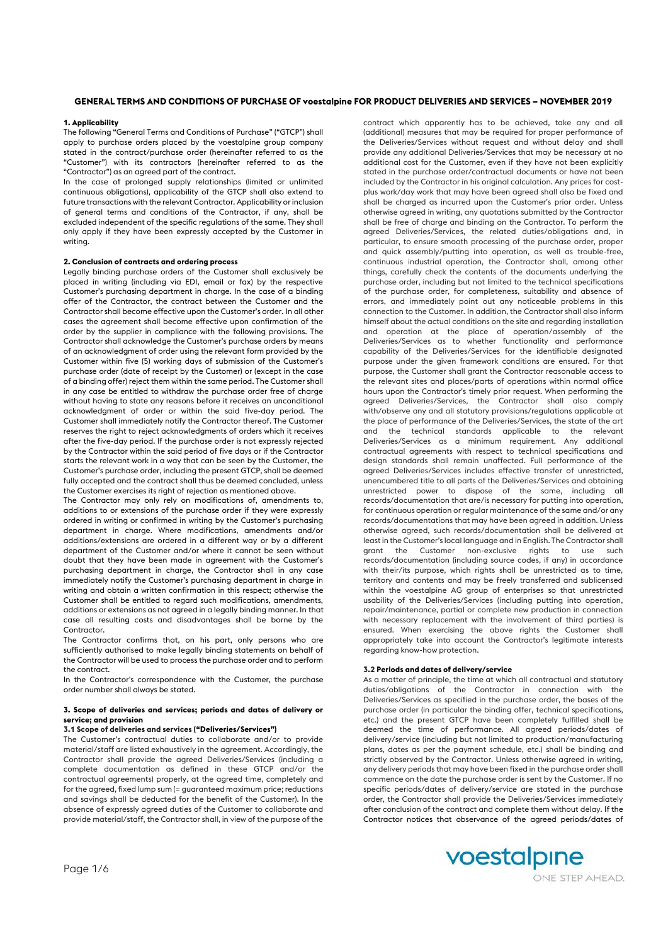# **GENERAL TERMS AND CONDITIONS OF PURCHASE OF voestalpine FOR PRODUCT DELIVERIES AND SERVICES – NOVEMBER 2019**

### **1. Applicability**

The following "General Terms and Conditions of Purchase" ("GTCP") shall apply to purchase orders placed by the voestalpine group company stated in the contract/purchase order (hereinafter referred to as the "Customer") with its contractors (hereinafter referred to as the "Contractor") as an agreed part of the contract.

In the case of prolonged supply relationships (limited or unlimited continuous obligations), applicability of the GTCP shall also extend to future transactions with the relevant Contractor. Applicability or inclusion of general terms and conditions of the Contractor, if any, shall be excluded independent of the specific regulations of the same. They shall only apply if they have been expressly accepted by the Customer in writing.

### **2. Conclusion of contracts and ordering process**

Legally binding purchase orders of the Customer shall exclusively be placed in writing (including via EDI, email or fax) by the respective Customer's purchasing department in charge. In the case of a binding offer of the Contractor, the contract between the Customer and the Contractor shall become effective upon the Customer's order. In all other cases the agreement shall become effective upon confirmation of the order by the supplier in compliance with the following provisions. The Contractor shall acknowledge the Customer's purchase orders by means of an acknowledgment of order using the relevant form provided by the Customer within five (5) working days of submission of the Customer's purchase order (date of receipt by the Customer) or (except in the case of a binding offer) reject them within the same period. The Customer shall in any case be entitled to withdraw the purchase order free of charge without having to state any reasons before it receives an unconditional acknowledgment of order or within the said five-day period. The Customer shall immediately notify the Contractor thereof. The Customer reserves the right to reject acknowledgments of orders which it receives after the five-day period. If the purchase order is not expressly rejected by the Contractor within the said period of five days or if the Contractor starts the relevant work in a way that can be seen by the Customer, the Customer's purchase order, including the present GTCP, shall be deemed fully accepted and the contract shall thus be deemed concluded, unless the Customer exercises its right of rejection as mentioned above.

The Contractor may only rely on modifications of, amendments to, additions to or extensions of the purchase order if they were expressly ordered in writing or confirmed in writing by the Customer's purchasing department in charge. Where modifications, amendments and/or additions/extensions are ordered in a different way or by a different department of the Customer and/or where it cannot be seen without doubt that they have been made in agreement with the Customer's purchasing department in charge, the Contractor shall in any case immediately notify the Customer's purchasing department in charge in writing and obtain a written confirmation in this respect; otherwise the Customer shall be entitled to regard such modifications, amendments, additions or extensions as not agreed in a legally binding manner. In that case all resulting costs and disadvantages shall be borne by the Contractor.

The Contractor confirms that, on his part, only persons who are sufficiently authorised to make legally binding statements on behalf of the Contractor will be used to process the purchase order and to perform the contract.

In the Contractor's correspondence with the Customer, the purchase order number shall always be stated.

### **3. Scope of deliveries and services; periods and dates of delivery or service; and provision**

**3.1 Scope of deliveries and services ("Deliveries/Services")**

The Customer's contractual duties to collaborate and/or to provide material/staff are listed exhaustively in the agreement. Accordingly, the Contractor shall provide the agreed Deliveries/Services (including a complete documentation as defined in these GTCP and/or the contractual agreements) properly, at the agreed time, completely and for the agreed, fixed lump sum (= guaranteed maximum price; reductions and savings shall be deducted for the benefit of the Customer). In the absence of expressly agreed duties of the Customer to collaborate and provide material/staff, the Contractor shall, in view of the purpose of the

contract which apparently has to be achieved, take any and all (additional) measures that may be required for proper performance of the Deliveries/Services without request and without delay and shall provide any additional Deliveries/Services that may be necessary at no additional cost for the Customer, even if they have not been explicitly stated in the purchase order/contractual documents or have not been included by the Contractor in his original calculation. Any prices for costplus work/day work that may have been agreed shall also be fixed and shall be charged as incurred upon the Customer's prior order. Unless otherwise agreed in writing, any quotations submitted by the Contractor shall be free of charge and binding on the Contractor. To perform the agreed Deliveries/Services, the related duties/obligations and, in particular, to ensure smooth processing of the purchase order, proper and quick assembly/putting into operation, as well as trouble-free, continuous industrial operation, the Contractor shall, among other things, carefully check the contents of the documents underlying the purchase order, including but not limited to the technical specifications of the purchase order, for completeness, suitability and absence of errors, and immediately point out any noticeable problems in this connection to the Customer. In addition, the Contractor shall also inform himself about the actual conditions on the site and regarding installation and operation at the place of operation/assembly of the Deliveries/Services as to whether functionality and performance capability of the Deliveries/Services for the identifiable designated purpose under the given framework conditions are ensured. For that purpose, the Customer shall grant the Contractor reasonable access to the relevant sites and places/parts of operations within normal office hours upon the Contractor's timely prior request. When performing the agreed Deliveries/Services, the Contractor shall also comply with/observe any and all statutory provisions/regulations applicable at the place of performance of the Deliveries/Services, the state of the art and the technical standards applicable to the relevant Deliveries/Services as a minimum requirement. Any additional contractual agreements with respect to technical specifications and design standards shall remain unaffected. Full performance of the agreed Deliveries/Services includes effective transfer of unrestricted, unencumbered title to all parts of the Deliveries/Services and obtaining unrestricted power to dispose of the same, including all records/documentation that are/is necessary for putting into operation, for continuous operation or regular maintenance of the same and/or any records/documentations that may have been agreed in addition. Unless otherwise agreed, such records/documentation shall be delivered at least in the Customer's local language and in English. The Contractor shall grant the Customer non-exclusive rights to use such records/documentation (including source codes, if any) in accordance with their/its purpose, which rights shall be unrestricted as to time, territory and contents and may be freely transferred and sublicensed within the voestalpine AG group of enterprises so that unrestricted usability of the Deliveries/Services (including putting into operation, repair/maintenance, partial or complete new production in connection with necessary replacement with the involvement of third parties) is ensured. When exercising the above rights the Customer shall appropriately take into account the Contractor's legitimate interests regarding know-how protection.

# **3.2 Periods and dates of delivery/service**

As a matter of principle, the time at which all contractual and statutory duties/obligations of the Contractor in connection with the Deliveries/Services as specified in the purchase order, the bases of the purchase order (in particular the binding offer, technical specifications, etc.) and the present GTCP have been completely fulfilled shall be deemed the time of performance. All agreed periods/dates of delivery/service (including but not limited to production/manufacturing plans, dates as per the payment schedule, etc.) shall be binding and strictly observed by the Contractor. Unless otherwise agreed in writing, any delivery periods that may have been fixed in the purchase order shall commence on the date the purchase order is sent by the Customer. If no specific periods/dates of delivery/service are stated in the purchase order, the Contractor shall provide the Deliveries/Services immediately after conclusion of the contract and complete them without delay. If the Contractor notices that observance of the agreed periods/dates of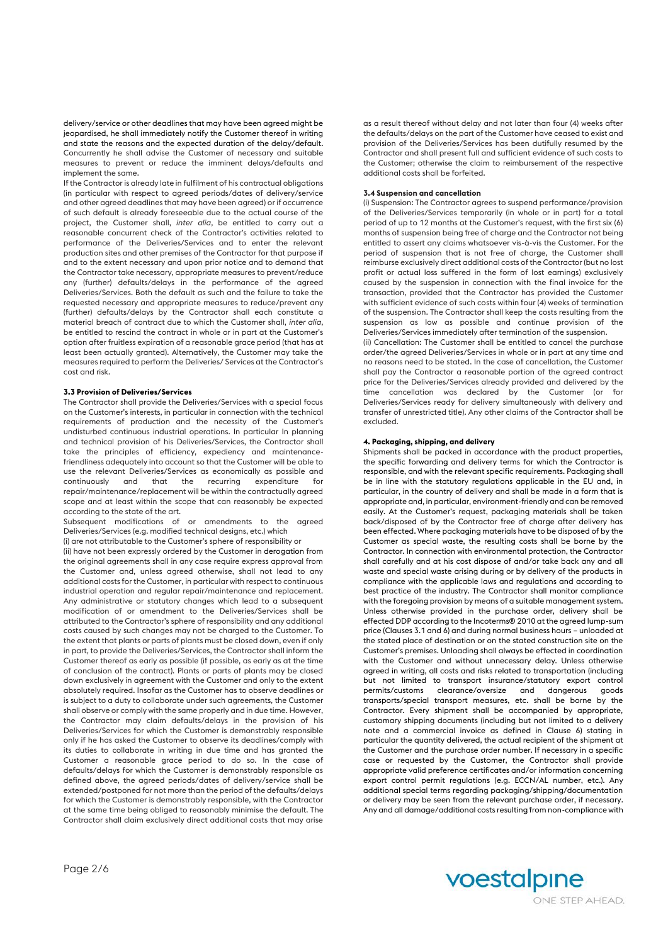delivery/service or other deadlines that may have been agreed might be jeopardised, he shall immediately notify the Customer thereof in writing and state the reasons and the expected duration of the delay/default. Concurrently he shall advise the Customer of necessary and suitable measures to prevent or reduce the imminent delays/defaults and implement the same.

If the Contractor is already late in fulfilment of his contractual obligations (in particular with respect to agreed periods/dates of delivery/service and other agreed deadlines that may have been agreed) or if occurrence of such default is already foreseeable due to the actual course of the project, the Customer shall, *inter alia*, be entitled to carry out a reasonable concurrent check of the Contractor's activities related to performance of the Deliveries/Services and to enter the relevant production sites and other premises of the Contractor for that purpose if and to the extent necessary and upon prior notice and to demand that the Contractor take necessary, appropriate measures to prevent/reduce any (further) defaults/delays in the performance of the agreed Deliveries/Services. Both the default as such and the failure to take the requested necessary and appropriate measures to reduce/prevent any (further) defaults/delays by the Contractor shall each constitute a material breach of contract due to which the Customer shall, *inter alia*, be entitled to rescind the contract in whole or in part at the Customer's option after fruitless expiration of a reasonable grace period (that has at least been actually granted). Alternatively, the Customer may take the measures required to perform the Deliveries/ Services at the Contractor's cost and risk.

#### **3.3 Provision of Deliveries/Services**

The Contractor shall provide the Deliveries/Services with a special focus on the Customer's interests, in particular in connection with the technical requirements of production and the necessity of the Customer's undisturbed continuous industrial operations. In particular In planning and technical provision of his Deliveries/Services, the Contractor shall take the principles of efficiency, expediency and maintenancefriendliness adequately into account so that the Customer will be able to use the relevant Deliveries/Services as economically as possible and continuously and that the recurring expenditure for repair/maintenance/replacement will be within the contractually agreed scope and at least within the scope that can reasonably be expected according to the state of the art.

Subsequent modifications of or amendments to the agreed Deliveries/Services (e.g. modified technical designs, etc.) which

(i) are not attributable to the Customer's sphere of responsibility or

(ii) have not been expressly ordered by the Customer in derogation from the original agreements shall in any case require express approval from the Customer and, unless agreed otherwise, shall not lead to any additional costs for the Customer, in particular with respect to continuous industrial operation and regular repair/maintenance and replacement. Any administrative or statutory changes which lead to a subsequent modification of or amendment to the Deliveries/Services shall be attributed to the Contractor's sphere of responsibility and any additional costs caused by such changes may not be charged to the Customer. To the extent that plants or parts of plants must be closed down, even if only in part, to provide the Deliveries/Services, the Contractor shall inform the Customer thereof as early as possible (if possible, as early as at the time of conclusion of the contract). Plants or parts of plants may be closed down exclusively in agreement with the Customer and only to the extent absolutely required. Insofar as the Customer has to observe deadlines or is subject to a duty to collaborate under such agreements, the Customer shall observe or comply with the same properly and in due time. However, the Contractor may claim defaults/delays in the provision of his Deliveries/Services for which the Customer is demonstrably responsible only if he has asked the Customer to observe its deadlines/comply with its duties to collaborate in writing in due time and has granted the Customer a reasonable grace period to do so. In the case of defaults/delays for which the Customer is demonstrably responsible as defined above, the agreed periods/dates of delivery/service shall be extended/postponed for not more than the period of the defaults/delays for which the Customer is demonstrably responsible, with the Contractor at the same time being obliged to reasonably minimise the default. The Contractor shall claim exclusively direct additional costs that may arise

as a result thereof without delay and not later than four (4) weeks after the defaults/delays on the part of the Customer have ceased to exist and provision of the Deliveries/Services has been dutifully resumed by the Contractor and shall present full and sufficient evidence of such costs to the Customer; otherwise the claim to reimbursement of the respective additional costs shall be forfeited.

#### **3.4 Suspension and cancellation**

(i) Suspension: The Contractor agrees to suspend performance/provision of the Deliveries/Services temporarily (in whole or in part) for a total period of up to 12 months at the Customer's request, with the first six (6) months of suspension being free of charge and the Contractor not being entitled to assert any claims whatsoever vis-à-vis the Customer. For the period of suspension that is not free of charge, the Customer shall reimburse exclusively direct additional costs of the Contractor (but no lost profit or actual loss suffered in the form of lost earnings) exclusively caused by the suspension in connection with the final invoice for the transaction, provided that the Contractor has provided the Customer with sufficient evidence of such costs within four (4) weeks of termination of the suspension. The Contractor shall keep the costs resulting from the suspension as low as possible and continue provision of the Deliveries/Services immediately after termination of the suspension. (ii) Cancellation: The Customer shall be entitled to cancel the purchase order/the agreed Deliveries/Services in whole or in part at any time and no reasons need to be stated. In the case of cancellation, the Customer shall pay the Contractor a reasonable portion of the agreed contract price for the Deliveries/Services already provided and delivered by the time cancellation was declared by the Customer (or for Deliveries/Services ready for delivery simultaneously with delivery and transfer of unrestricted title). Any other claims of the Contractor shall be excluded.

#### **4. Packaging, shipping, and delivery**

Shipments shall be packed in accordance with the product properties, the specific forwarding and delivery terms for which the Contractor is responsible, and with the relevant specific requirements. Packaging shall be in line with the statutory regulations applicable in the EU and, in particular, in the country of delivery and shall be made in a form that is appropriate and, in particular, environment-friendly and can be removed easily. At the Customer's request, packaging materials shall be taken back/disposed of by the Contractor free of charge after delivery has been effected. Where packaging materials have to be disposed of by the Customer as special waste, the resulting costs shall be borne by the Contractor. In connection with environmental protection, the Contractor shall carefully and at his cost dispose of and/or take back any and all waste and special waste arising during or by delivery of the products in compliance with the applicable laws and regulations and according to best practice of the industry. The Contractor shall monitor compliance with the foregoing provision by means of a suitable management system. Unless otherwise provided in the purchase order, delivery shall be effected DDP according to the Incoterms® 2010 at the agreed lump-sum price (Clauses 3.1 and 6) and during normal business hours – unloaded at the stated place of destination or on the stated construction site on the Customer's premises. Unloading shall always be effected in coordination with the Customer and without unnecessary delay. Unless otherwise agreed in writing, all costs and risks related to transportation (including but not limited to transport insurance/statutory export control permits/customs clearance/oversize and dangerous goods transports/special transport measures, etc. shall be borne by the Contractor. Every shipment shall be accompanied by appropriate, customary shipping documents (including but not limited to a delivery note and a commercial invoice as defined in Clause 6) stating in particular the quantity delivered, the actual recipient of the shipment at the Customer and the purchase order number. If necessary in a specific case or requested by the Customer, the Contractor shall provide appropriate valid preference certificates and/or information concerning export control permit regulations (e.g. ECCN/AL number, etc.). Any additional special terms regarding packaging/shipping/documentation or delivery may be seen from the relevant purchase order, if necessary. Any and all damage/additional costs resulting from non-compliance with

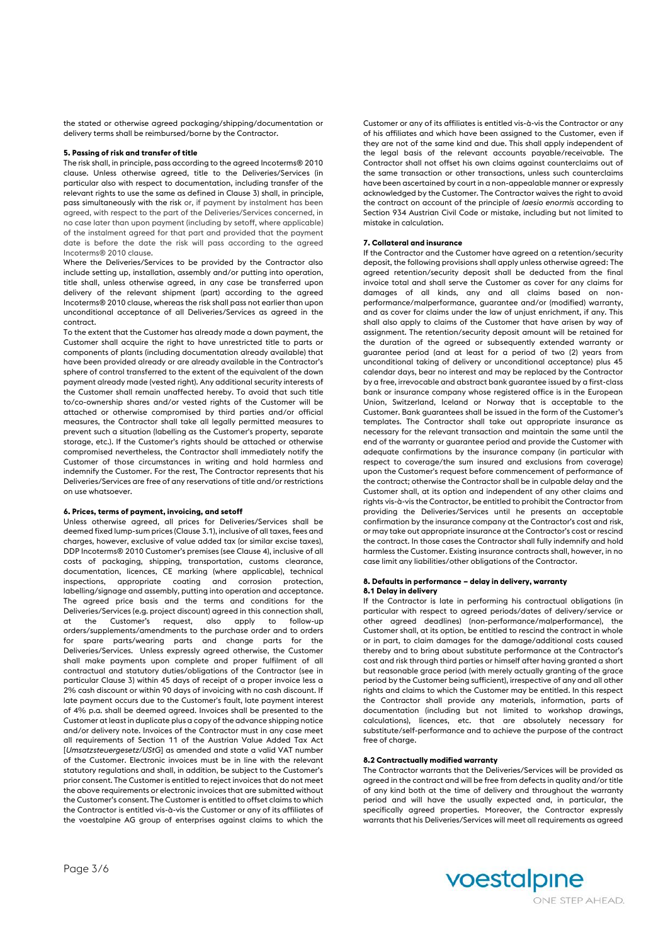the stated or otherwise agreed packaging/shipping/documentation or delivery terms shall be reimbursed/borne by the Contractor.

# **5. Passing of risk and transfer of title**

The risk shall, in principle, pass according to the agreed Incoterms® 2010 clause. Unless otherwise agreed, title to the Deliveries/Services (in particular also with respect to documentation, including transfer of the relevant rights to use the same as defined in Clause 3) shall, in principle, pass simultaneously with the risk or, if payment by instalment has been agreed, with respect to the part of the Deliveries/Services concerned, in no case later than upon payment (including by setoff, where applicable) of the instalment agreed for that part and provided that the payment date is before the date the risk will pass according to the agreed Incoterms® 2010 clause.

Where the Deliveries/Services to be provided by the Contractor also include setting up, installation, assembly and/or putting into operation, title shall, unless otherwise agreed, in any case be transferred upon delivery of the relevant shipment (part) according to the agreed Incoterms® 2010 clause, whereas the risk shall pass not earlier than upon unconditional acceptance of all Deliveries/Services as agreed in the contract.

To the extent that the Customer has already made a down payment, the Customer shall acquire the right to have unrestricted title to parts or components of plants (including documentation already available) that have been provided already or are already available in the Contractor's sphere of control transferred to the extent of the equivalent of the down payment already made (vested right). Any additional security interests of the Customer shall remain unaffected hereby. To avoid that such title to/co-ownership shares and/or vested rights of the Customer will be attached or otherwise compromised by third parties and/or official measures, the Contractor shall take all legally permitted measures to prevent such a situation (labelling as the Customer's property, separate storage, etc.). If the Customer's rights should be attached or otherwise compromised nevertheless, the Contractor shall immediately notify the Customer of those circumstances in writing and hold harmless and indemnify the Customer. For the rest, The Contractor represents that his Deliveries/Services are free of any reservations of title and/or restrictions on use whatsoever.

#### **6. Prices, terms of payment, invoicing, and setoff**

Unless otherwise agreed, all prices for Deliveries/Services shall be deemed fixed lump-sum prices (Clause 3.1), inclusive of all taxes, fees and charges, however, exclusive of value added tax (or similar excise taxes), DDP Incoterms® 2010 Customer's premises (see Clause 4), inclusive of all costs of packaging, shipping, transportation, customs clearance, documentation, licences, CE marking (where applicable), technical inspections, appropriate coating and corrosion protection, labelling/signage and assembly, putting into operation and acceptance. The agreed price basis and the terms and conditions for the Deliveries/Services (e.g. project discount) agreed in this connection shall, at the Customer's request, also apply to follow-up orders/supplements/amendments to the purchase order and to orders for spare parts/wearing parts and change parts for the Deliveries/Services. Unless expressly agreed otherwise, the Customer shall make payments upon complete and proper fulfilment of all contractual and statutory duties/obligations of the Contractor (see in particular Clause 3) within 45 days of receipt of a proper invoice less a 2% cash discount or within 90 days of invoicing with no cash discount. If late payment occurs due to the Customer's fault, late payment interest of 4% p.a. shall be deemed agreed. Invoices shall be presented to the Customer at least in duplicate plus a copy of the advance shipping notice and/or delivery note. Invoices of the Contractor must in any case meet all requirements of Section 11 of the Austrian Value Added Tax Act [*Umsatzsteuergesetz/UStG*] as amended and state a valid VAT number of the Customer. Electronic invoices must be in line with the relevant statutory regulations and shall, in addition, be subject to the Customer's prior consent. The Customer is entitled to reject invoices that do not meet the above requirements or electronic invoices that are submitted without the Customer's consent. The Customer is entitled to offset claims to which the Contractor is entitled vis-à-vis the Customer or any of its affiliates of the voestalpine AG group of enterprises against claims to which the

Customer or any of its affiliates is entitled vis-à-vis the Contractor or any of his affiliates and which have been assigned to the Customer, even if they are not of the same kind and due. This shall apply independent of the legal basis of the relevant accounts payable/receivable. The Contractor shall not offset his own claims against counterclaims out of the same transaction or other transactions, unless such counterclaims have been ascertained by court in a non-appealable manner or expressly acknowledged by the Customer. The Contractor waives the right to avoid the contract on account of the principle of *laesio enormis* according to Section 934 Austrian Civil Code or mistake, including but not limited to mistake in calculation.

# **7. Collateral and insurance**

If the Contractor and the Customer have agreed on a retention/security deposit, the following provisions shall apply unless otherwise agreed: The agreed retention/security deposit shall be deducted from the final invoice total and shall serve the Customer as cover for any claims for damages of all kinds, any and all claims based on nonperformance/malperformance, guarantee and/or (modified) warranty, and as cover for claims under the law of unjust enrichment, if any. This shall also apply to claims of the Customer that have arisen by way of assignment. The retention/security deposit amount will be retained for the duration of the agreed or subsequently extended warranty or guarantee period (and at least for a period of two (2) years from unconditional taking of delivery or unconditional acceptance) plus 45 calendar days, bear no interest and may be replaced by the Contractor by a free, irrevocable and abstract bank guarantee issued by a first-class bank or insurance company whose registered office is in the European Union, Switzerland, Iceland or Norway that is acceptable to the Customer. Bank guarantees shall be issued in the form of the Customer's templates. The Contractor shall take out appropriate insurance as necessary for the relevant transaction and maintain the same until the end of the warranty or guarantee period and provide the Customer with adequate confirmations by the insurance company (in particular with respect to coverage/the sum insured and exclusions from coverage) upon the Customer's request before commencement of performance of the contract; otherwise the Contractor shall be in culpable delay and the Customer shall, at its option and independent of any other claims and rights vis-à-vis the Contractor, be entitled to prohibit the Contractor from providing the Deliveries/Services until he presents an acceptable confirmation by the insurance company at the Contractor's cost and risk, or may take out appropriate insurance at the Contractor's cost or rescind the contract. In those cases the Contractor shall fully indemnify and hold harmless the Customer. Existing insurance contracts shall, however, in no case limit any liabilities/other obligations of the Contractor.

### **8. Defaults in performance – delay in delivery, warranty 8.1 Delay in delivery**

If the Contractor is late in performing his contractual obligations (in particular with respect to agreed periods/dates of delivery/service or other agreed deadlines) (non-performance/malperformance), the Customer shall, at its option, be entitled to rescind the contract in whole or in part, to claim damages for the damage/additional costs caused thereby and to bring about substitute performance at the Contractor's cost and risk through third parties or himself after having granted a short but reasonable grace period (with merely actually granting of the grace period by the Customer being sufficient), irrespective of any and all other rights and claims to which the Customer may be entitled. In this respect the Contractor shall provide any materials, information, parts of documentation (including but not limited to workshop drawings, calculations), licences, etc. that are absolutely necessary for substitute/self-performance and to achieve the purpose of the contract free of charge.

### **8.2 Contractually modified warranty**

The Contractor warrants that the Deliveries/Services will be provided as agreed in the contract and will be free from defects in quality and/or title of any kind both at the time of delivery and throughout the warranty period and will have the usually expected and, in particular, the specifically agreed properties. Moreover, the Contractor expressly warrants that his Deliveries/Services will meet all requirements as agreed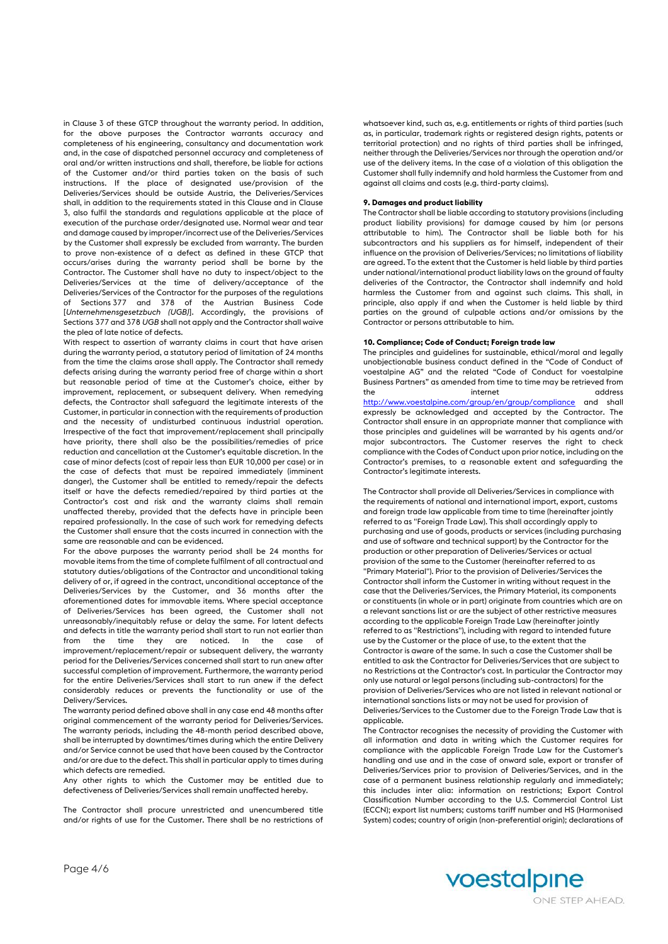in Clause 3 of these GTCP throughout the warranty period. In addition, for the above purposes the Contractor warrants accuracy and completeness of his engineering, consultancy and documentation work and, in the case of dispatched personnel accuracy and completeness of oral and/or written instructions and shall, therefore, be liable for actions of the Customer and/or third parties taken on the basis of such instructions. If the place of designated use/provision of the Deliveries/Services should be outside Austria, the Deliveries/Services shall, in addition to the requirements stated in this Clause and in Clause 3, also fulfil the standards and regulations applicable at the place of execution of the purchase order/designated use. Normal wear and tear and damage caused by improper/incorrect use of the Deliveries/Services by the Customer shall expressly be excluded from warranty. The burden to prove non-existence of a defect as defined in these GTCP that occurs/arises during the warranty period shall be borne by the Contractor. The Customer shall have no duty to inspect/object to the Deliveries/Services at the time of delivery/acceptance of the Deliveries/Services of the Contractor for the purposes of the regulations of Sections 377 and 378 of the Austrian Business Code [*Unternehmensgesetzbuch (UGB)*]. Accordingly, the provisions of Sections 377 and 378 *UGB* shall not apply and the Contractor shall waive the plea of late notice of defects.

With respect to assertion of warranty claims in court that have arisen during the warranty period, a statutory period of limitation of 24 months from the time the claims arose shall apply. The Contractor shall remedy defects arising during the warranty period free of charge within a short but reasonable period of time at the Customer's choice, either by improvement, replacement, or subsequent delivery. When remedying defects, the Contractor shall safeguard the legitimate interests of the Customer, in particular in connection with the requirements of production and the necessity of undisturbed continuous industrial operation. Irrespective of the fact that improvement/replacement shall principally have priority, there shall also be the possibilities/remedies of price reduction and cancellation at the Customer's equitable discretion. In the case of minor defects (cost of repair less than EUR 10,000 per case) or in the case of defects that must be repaired immediately (imminent danger), the Customer shall be entitled to remedy/repair the defects itself or have the defects remedied/repaired by third parties at the Contractor's cost and risk and the warranty claims shall remain unaffected thereby, provided that the defects have in principle been repaired professionally. In the case of such work for remedying defects the Customer shall ensure that the costs incurred in connection with the same are reasonable and can be evidenced.

For the above purposes the warranty period shall be 24 months for movable items from the time of complete fulfilment of all contractual and statutory duties/obligations of the Contractor and unconditional taking delivery of or, if agreed in the contract, unconditional acceptance of the Deliveries/Services by the Customer, and 36 months after the aforementioned dates for immovable items. Where special acceptance of Deliveries/Services has been agreed, the Customer shall not unreasonably/inequitably refuse or delay the same. For latent defects and defects in title the warranty period shall start to run not earlier than from the time they are noticed. In the case of improvement/replacement/repair or subsequent delivery, the warranty period for the Deliveries/Services concerned shall start to run anew after successful completion of improvement. Furthermore, the warranty period for the entire Deliveries/Services shall start to run anew if the defect considerably reduces or prevents the functionality or use of the Delivery/Services.

The warranty period defined above shall in any case end 48 months after original commencement of the warranty period for Deliveries/Services. The warranty periods, including the 48-month period described above, shall be interrupted by downtimes/times during which the entire Delivery and/or Service cannot be used that have been caused by the Contractor and/or are due to the defect. This shall in particular apply to times during which defects are remedied.

Any other rights to which the Customer may be entitled due to defectiveness of Deliveries/Services shall remain unaffected hereby.

The Contractor shall procure unrestricted and unencumbered title and/or rights of use for the Customer. There shall be no restrictions of whatsoever kind, such as, e.g. entitlements or rights of third parties (such as, in particular, trademark rights or registered design rights, patents or territorial protection) and no rights of third parties shall be infringed, neither through the Deliveries/Services nor through the operation and/or use of the delivery items. In the case of a violation of this obligation the Customer shall fully indemnify and hold harmless the Customer from and against all claims and costs (e.g. third-party claims).

# **9. Damages and product liability**

The Contractor shall be liable according to statutory provisions (including product liability provisions) for damage caused by him (or persons attributable to him). The Contractor shall be liable both for his subcontractors and his suppliers as for himself, independent of their influence on the provision of Deliveries/Services; no limitations of liability are agreed. To the extent that the Customer is held liable by third parties under national/international product liability laws on the ground of faulty deliveries of the Contractor, the Contractor shall indemnify and hold harmless the Customer from and against such claims. This shall, in principle, also apply if and when the Customer is held liable by third parties on the ground of culpable actions and/or omissions by the Contractor or persons attributable to him.

# **10. Compliance; Code of Conduct; Foreign trade law**

The principles and guidelines for sustainable, ethical/moral and legally unobjectionable business conduct defined in the "Code of Conduct of voestalpine AG" and the related "Code of Conduct for voestalpine Business Partners" as amended from time to time may be retrieved from the internet address and the internet <http://www.voestalpine.com/group/en/group/compliance> and shall expressly be acknowledged and accepted by the Contractor. The Contractor shall ensure in an appropriate manner that compliance with those principles and guidelines will be warranted by his agents and/or major subcontractors. The Customer reserves the right to check compliance with the Codes of Conduct upon prior notice, including on the Contractor's premises, to a reasonable extent and safeguarding the Contractor's legitimate interests.

The Contractor shall provide all Deliveries/Services in compliance with the requirements of national and international import, export, customs and foreign trade law applicable from time to time (hereinafter jointly referred to as "Foreign Trade Law). This shall accordingly apply to purchasing and use of goods, products or services (including purchasing and use of software and technical support) by the Contractor for the production or other preparation of Deliveries/Services or actual provision of the same to the Customer (hereinafter referred to as "Primary Material"). Prior to the provision of Deliveries/Services the Contractor shall inform the Customer in writing without request in the case that the Deliveries/Services, the Primary Material, its components or constituents (in whole or in part) originate from countries which are on a relevant sanctions list or are the subject of other restrictive measures according to the applicable Foreign Trade Law (hereinafter jointly referred to as "Restrictions"), including with regard to intended future use by the Customer or the place of use, to the extent that the Contractor is aware of the same. In such a case the Customer shall be entitled to ask the Contractor for Deliveries/Services that are subject to no Restrictions at the Contractor's cost. In particular the Contractor may only use natural or legal persons (including sub-contractors) for the provision of Deliveries/Services who are not listed in relevant national or international sanctions lists or may not be used for provision of Deliveries/Services to the Customer due to the Foreign Trade Law that is applicable.

The Contractor recognises the necessity of providing the Customer with all information and data in writing which the Customer requires for compliance with the applicable Foreign Trade Law for the Customer's handling and use and in the case of onward sale, export or transfer of Deliveries/Services prior to provision of Deliveries/Services, and in the case of a permanent business relationship regularly and immediately; this includes inter alia: information on restrictions; Export Control Classification Number according to the U.S. Commercial Control List (ECCN); export list numbers; customs tariff number and HS (Harmonised System) codes; country of origin (non-preferential origin); declarations of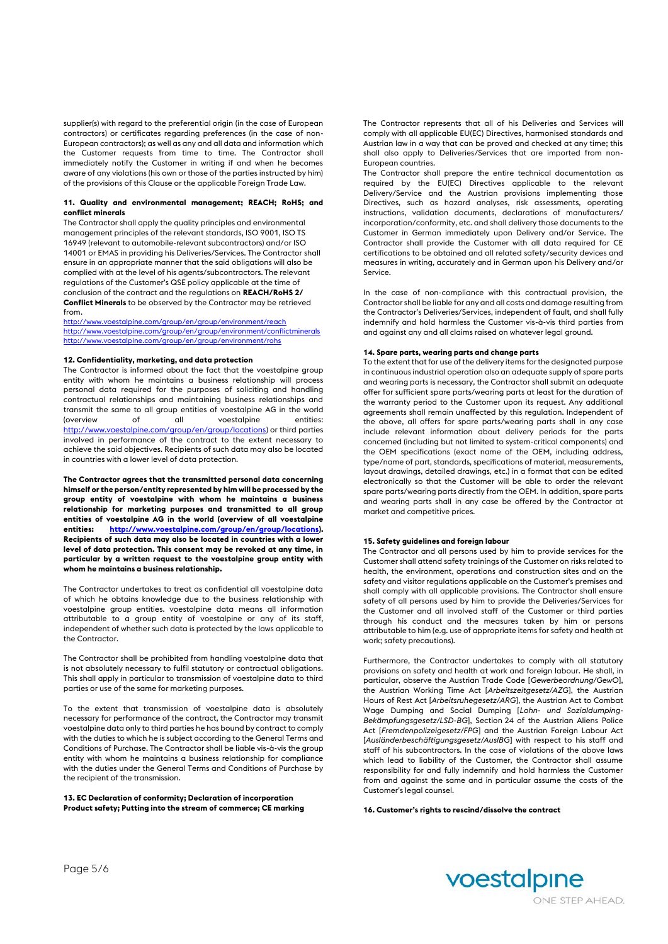supplier(s) with regard to the preferential origin (in the case of European contractors) or certificates regarding preferences (in the case of non-European contractors); as well as any and all data and information which the Customer requests from time to time. The Contractor shall immediately notify the Customer in writing if and when he becomes aware of any violations (his own or those of the parties instructed by him) of the provisions of this Clause or the applicable Foreign Trade Law.

#### **11. Quality and environmental management; REACH; RoHS; and conflict minerals**

The Contractor shall apply the quality principles and environmental management principles of the relevant standards, ISO 9001, ISO TS 16949 (relevant to automobile-relevant subcontractors) and/or ISO 14001 or EMAS in providing his Deliveries/Services. The Contractor shall ensure in an appropriate manner that the said obligations will also be complied with at the level of his agents/subcontractors. The relevant regulations of the Customer's QSE policy applicable at the time of conclusion of the contract and the regulations on **REACH/RoHS 2/ Conflict Minerals** to be observed by the Contractor may be retrieved from.

<http://www.voestalpine.com/group/en/group/environment/reach> <http://www.voestalpine.com/group/en/group/environment/conflictminerals> <http://www.voestalpine.com/group/en/group/environment/rohs>

# **12. Confidentiality, marketing, and data protection**

The Contractor is informed about the fact that the voestalpine group entity with whom he maintains a business relationship will process personal data required for the purposes of soliciting and handling contractual relationships and maintaining business relationships and transmit the same to all group entities of voestalpine AG in the world (overview of all voestalpine entities: [http://www.voestalpine.com/group/en/group/locations\)](http://www.voestalpine.com/group/en/group/locations) or third parties involved in performance of the contract to the extent necessary to achieve the said objectives. Recipients of such data may also be located in countries with a lower level of data protection.

**The Contractor agrees that the transmitted personal data concerning himself or the person/entity represented by him will be processed by the group entity of voestalpine with whom he maintains a business relationship for marketing purposes and transmitted to all group entities of voestalpine AG in the world (overview of all voestalpine entities: [http://www.voestalpine.com/group/en/group/locations\).](http://www.voestalpine.com/group/en/group/locations) Recipients of such data may also be located in countries with a lower level of data protection. This consent may be revoked at any time, in particular by a written request to the voestalpine group entity with whom he maintains a business relationship.**

The Contractor undertakes to treat as confidential all voestalpine data of which he obtains knowledge due to the business relationship with voestalpine group entities. voestalpine data means all information attributable to a group entity of voestalpine or any of its staff, independent of whether such data is protected by the laws applicable to the Contractor.

The Contractor shall be prohibited from handling voestalpine data that is not absolutely necessary to fulfil statutory or contractual obligations. This shall apply in particular to transmission of voestalpine data to third parties or use of the same for marketing purposes.

To the extent that transmission of voestalpine data is absolutely necessary for performance of the contract, the Contractor may transmit voestalpine data only to third parties he has bound by contract to comply with the duties to which he is subject according to the General Terms and Conditions of Purchase. The Contractor shall be liable vis-à-vis the group entity with whom he maintains a business relationship for compliance with the duties under the General Terms and Conditions of Purchase by the recipient of the transmission.

#### **13. EC Declaration of conformity; Declaration of incorporation Product safety; Putting into the stream of commerce; CE marking**

The Contractor represents that all of his Deliveries and Services will comply with all applicable EU(EC) Directives, harmonised standards and Austrian law in a way that can be proved and checked at any time; this shall also apply to Deliveries/Services that are imported from non-European countries.

The Contractor shall prepare the entire technical documentation as required by the EU(EC) Directives applicable to the relevant Delivery/Service and the Austrian provisions implementing those Directives, such as hazard analyses, risk assessments, operating instructions, validation documents, declarations of manufacturers/ incorporation/conformity, etc. and shall delivery those documents to the Customer in German immediately upon Delivery and/or Service. The Contractor shall provide the Customer with all data required for CE certifications to be obtained and all related safety/security devices and measures in writing, accurately and in German upon his Delivery and/or Service.

In the case of non-compliance with this contractual provision, the Contractor shall be liable for any and all costs and damage resulting from the Contractor's Deliveries/Services, independent of fault, and shall fully indemnify and hold harmless the Customer vis-à-vis third parties from and against any and all claims raised on whatever legal ground.

# **14. Spare parts, wearing parts and change parts**

To the extent that for use of the delivery items for the designated purpose in continuous industrial operation also an adequate supply of spare parts and wearing parts is necessary, the Contractor shall submit an adequate offer for sufficient spare parts/wearing parts at least for the duration of the warranty period to the Customer upon its request. Any additional agreements shall remain unaffected by this regulation. Independent of the above, all offers for spare parts/wearing parts shall in any case include relevant information about delivery periods for the parts concerned (including but not limited to system-critical components) and the OEM specifications (exact name of the OEM, including address, type/name of part, standards, specifications of material, measurements, layout drawings, detailed drawings, etc.) in a format that can be edited electronically so that the Customer will be able to order the relevant spare parts/wearing parts directly from the OEM. In addition, spare parts and wearing parts shall in any case be offered by the Contractor at market and competitive prices.

#### **15. Safety guidelines and foreign labour**

The Contractor and all persons used by him to provide services for the Customer shall attend safety trainings of the Customer on risks related to health, the environment, operations and construction sites and on the safety and visitor regulations applicable on the Customer's premises and shall comply with all applicable provisions. The Contractor shall ensure safety of all persons used by him to provide the Deliveries/Services for the Customer and all involved staff of the Customer or third parties through his conduct and the measures taken by him or persons attributable to him (e.g. use of appropriate items for safety and health at work; safety precautions).

Furthermore, the Contractor undertakes to comply with all statutory provisions on safety and health at work and foreign labour. He shall, in particular, observe the Austrian Trade Code [*Gewerbeordnung/GewO*], the Austrian Working Time Act [*Arbeitszeitgesetz/AZG*], the Austrian Hours of Rest Act [*Arbeitsruhegesetz/ARG*], the Austrian Act to Combat Wage Dumping and Social Dumping [*Lohn- und Sozialdumping-Bekämpfungsgesetz/LSD-BG*], Section 24 of the Austrian Aliens Police Act [*Fremdenpolizeigesetz/FPG*] and the Austrian Foreign Labour Act [*Ausländerbeschäftigungsgesetz/AuslBG*] with respect to his staff and staff of his subcontractors. In the case of violations of the above laws which lead to liability of the Customer, the Contractor shall assume responsibility for and fully indemnify and hold harmless the Customer from and against the same and in particular assume the costs of the Customer's legal counsel.

**16. Customer's rights to rescind/dissolve the contract**